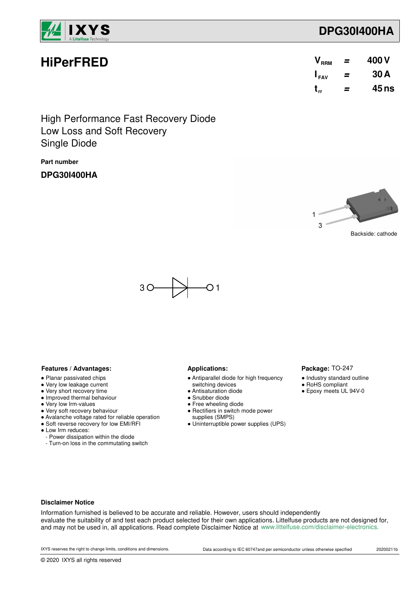

**HiPerFRED**

# **DPG30I400HA**

| V <sub>RRM</sub> | = | 400 V |
|------------------|---|-------|
| $I_{FAV}$        | = | 30 A  |
| $t_{rr}$         | = | 45 ns |

Low Loss and Soft Recovery High Performance Fast Recovery Diode Single Diode

**Part number**

**DPG30I400HA**



Package: TO-247 ● Industry standard outline ● RoHS compliant ● Epoxy meets UL 94V-0



### **Features / Advantages:** Applications:

- Planar passivated chips
- Very low leakage current
- Very short recovery time
- Improved thermal behaviour
- Very low Irm-values
- Very soft recovery behaviour
- Avalanche voltage rated for reliable operation
- Soft reverse recovery for low EMI/RFI
- Low Irm reduces:
	- Power dissipation within the diode
- Turn-on loss in the commutating switch

- Antiparallel diode for high frequency
- switching devices
- Antisaturation diode
- Snubber diode
- Free wheeling diode ● Rectifiers in switch mode power
- supplies (SMPS)
- Uninterruptible power supplies (UPS)

#### **Disclaimer Notice**

Information furnished is believed to be accurate and reliable. However, users should independently evaluate the suitability of and test each product selected for their own applications. Littelfuse products are not designed for, and may not be used in, all applications. Read complete Disclaimer Notice at www.littelfuse.com/disclaimer-electronics.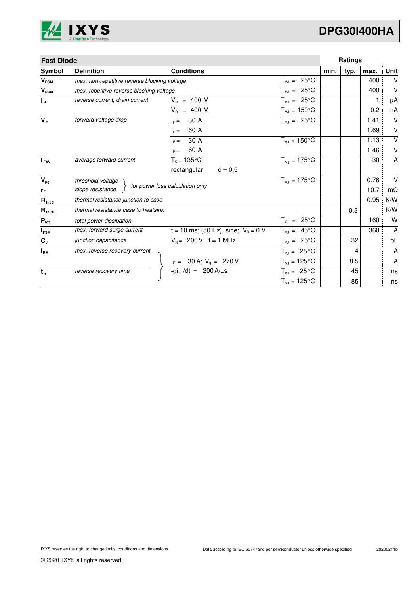

# **DPG30I400HA**

| <b>Fast Diode</b> |                                              |                                                                              |                                 |      | Ratings |      |           |
|-------------------|----------------------------------------------|------------------------------------------------------------------------------|---------------------------------|------|---------|------|-----------|
| Symbol            | <b>Definition</b>                            | <b>Conditions</b>                                                            |                                 | min. | typ.    | max. | Unit      |
| $V_{\text{RSM}}$  | max. non-repetitive reverse blocking voltage |                                                                              | $T_{VJ} = 25^{\circ}C$          |      |         | 400  | $\vee$    |
| $V_{RRM}$         | max. repetitive reverse blocking voltage     |                                                                              | $T_{VJ} = 25^{\circ}C$          |      |         | 400  | $\vee$    |
| $I_R$             | reverse current, drain current               | $V_{B}$ = 400 V                                                              | $T_{VJ} = 25^{\circ}C$          |      |         | 1    | $\mu$ A   |
|                   |                                              | $V_R$ = 400 V                                                                | $T_{VJ} = 150^{\circ}C$         |      |         | 0.2  | mA        |
| $V_F$             | forward voltage drop                         | 30 A<br>$I_{\rm c} =$                                                        | $T_{VJ} = 25^{\circ}C$          |      |         | 1.41 | V         |
|                   |                                              | 60 A<br>$I_F =$                                                              |                                 |      |         | 1.69 | V         |
|                   |                                              | 30 A<br>$ _{E} =$                                                            | $T_{\text{VJ}}$ = 150 °C        |      |         | 1.13 | $\vee$    |
|                   |                                              | 60 A<br>$I_F =$                                                              |                                 |      |         | 1.46 | V         |
| $I_{\text{FAV}}$  | average forward current                      | $T_c = 135$ °C                                                               | $T_{\text{VI}} = 175^{\circ}C$  |      |         | 30   | A         |
|                   |                                              | rectangular<br>$d = 0.5$                                                     |                                 |      |         |      |           |
| $V_{F0}$          | threshold voltage                            |                                                                              | $T_{V_1} = 175^{\circ}C$        |      |         | 0.76 | $\vee$    |
| rF                | slope resistance                             | for power loss calculation only                                              |                                 |      |         | 10.7 | $m\Omega$ |
| $R_{thJC}$        | thermal resistance junction to case          |                                                                              |                                 |      |         | 0.95 | K/W       |
| $R_{\text{thCH}}$ | thermal resistance case to heatsink          |                                                                              |                                 |      | 0.3     |      | K/W       |
| $P_{\text{tot}}$  | total power dissipation                      |                                                                              | $T_c = 25^{\circ}C$             |      |         | 160  | W         |
| $I_{FSM}$         | max. forward surge current                   | t = 10 ms; (50 Hz), sine; $V_R = 0$ V                                        | $T_{VJ} = 45^{\circ}C$          |      |         | 360  | A         |
| $C_{J}$           | junction capacitance                         | $V_B = 200 V$ f = 1 MHz                                                      | $T_{VJ} = 25^{\circ}C$          |      | 32      |      | pF        |
| $I_{\rm RM}$      | max. reverse recovery current                |                                                                              | $T_{VJ} = 25 °C$                |      | 4       |      | A         |
|                   |                                              |                                                                              | $T_{\text{VI}} = 125 \text{°C}$ |      | 8.5     |      | A         |
| $t_{rr}$          | reverse recovery time                        | $I_F = 30 \text{ A}; V_R = 270 \text{ V}$<br>-di <sub>F</sub> /dt = 200 A/µs | $T_{VJ} = 25 °C$                |      | 45      |      | ns        |
|                   |                                              |                                                                              | $T_{VJ} = 125 °C$               |      | 85      |      | ns        |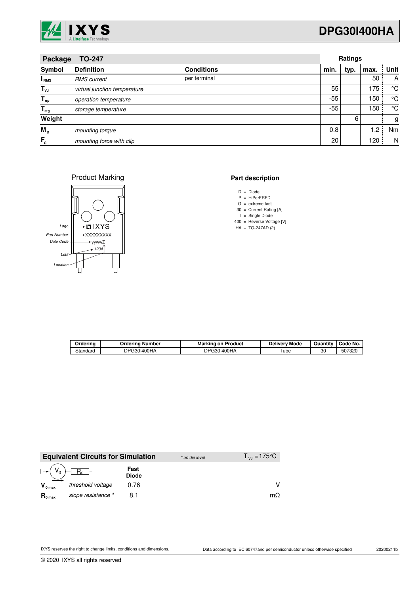

# **DPG30I400HA**

| <b>TO-247</b><br>Package  |                              |                   |       | <b>Ratings</b> |      |      |  |
|---------------------------|------------------------------|-------------------|-------|----------------|------|------|--|
| Symbol                    | <b>Definition</b>            | <b>Conditions</b> | min.  | typ.           | max. | Unit |  |
| <sup>I</sup> RMS          | <b>RMS</b> current           | per terminal      |       |                | 50   | A    |  |
| $T_{\nu J}$               | virtual junction temperature |                   | -55   |                | 175  | °C   |  |
| $T_{op}$                  | operation temperature        |                   | $-55$ |                | 150  | °C   |  |
| $\mathsf{T}_{\text{stg}}$ | storage temperature          |                   | -55   |                | 150  | °C   |  |
| Weight                    |                              |                   |       | 6              |      | g    |  |
| M <sub>D</sub>            | mounting torque              |                   | 0.8   |                | 1.2  | Nm   |  |
| $F_c$                     | mounting force with clip     |                   | 20    |                | 120  | N    |  |

Product Marking



#### **Part description**

- D Diode =
- P HiPerFRED =
- G 30 = extreme fast = Current Rating [A]
- I = Single Diode
- 400 Reverse Voltage [V] =
- $HA = TO-247AD(2)$

| Ordering | Ordering Number | Marking on<br>Product | Mode<br><b>Delivery</b> | $\cdot$ .<br>Quantity | Code No. |
|----------|-----------------|-----------------------|-------------------------|-----------------------|----------|
| Standard | DPG30I400HA     | DPG30I400HA           | ube                     | 30                    | 507320   |

|                     | <b>Equivalent Circuits for Simulation</b> |                      | * on die level | $T_{V_1} = 175^{\circ}C$ |
|---------------------|-------------------------------------------|----------------------|----------------|--------------------------|
|                     | $R_0$ –                                   | Fast<br><b>Diode</b> |                |                          |
| $V_{0 \text{ max}}$ | threshold voltage                         | 0.76                 |                |                          |
| $R_{0 \text{ max}}$ | slope resistance *                        |                      |                | $m\Omega$                |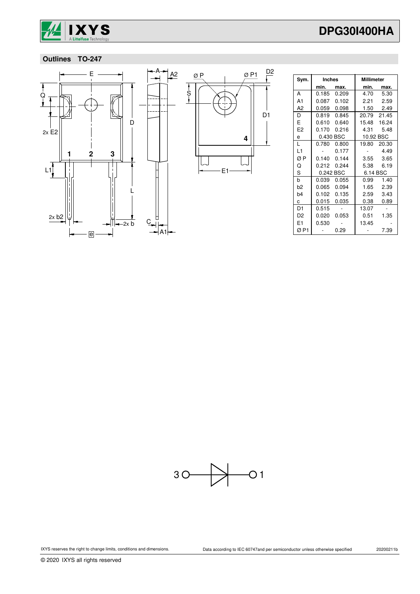

# **Outlines TO-247**



| Sym.           | <b>Inches</b> |       | Millimeter |             |  |
|----------------|---------------|-------|------------|-------------|--|
|                | min. L        | max.  | min.       | max.        |  |
| A              | 0.185         | 0.209 | 4.70       | 5.30        |  |
| A <sub>1</sub> | 0.087         | 0.102 | 2.21       | 2.59        |  |
| A <sub>2</sub> | 0.059         | 0.098 |            | 1.50 2.49   |  |
| D              | 0.819         | 0.845 |            | 20.79 21.45 |  |
| E              | 0.610         | 0.640 |            | 15.48 16.24 |  |
| E <sub>2</sub> | 0.170         | 0.216 |            | 4.31 5.48   |  |
| e              | 0.430 BSC     |       | 10.92 BSC  |             |  |
| L              | 0.780         | 0.800 | 19.80      | 20.30       |  |
| L1             |               | 0.177 |            | 4.49        |  |
| ØΡ             | 0.140         | 0.144 | 3.55       | 3.65        |  |
| Q              | 0.212         | 0.244 | 5.38       | 6.19        |  |
| S              | 0.242 BSC     |       | 6.14 BSC   |             |  |
| b              | 0.039         | 0.055 | 0.99       | 1.40        |  |
| b2             | 0.065         | 0.094 | 1.65       | 2.39        |  |
| b4             | 0.102         | 0.135 | 2.59       | 3.43        |  |
| C              | 0.015         | 0.035 | 0.38       | 0.89        |  |
| D1             | 0.515         |       | 13.07      |             |  |
| D <sub>2</sub> | 0.020         | 0.053 | 0.51       | 1.35        |  |
| E1             | 0.530         |       | 13.45      |             |  |
| ØP1            |               | 0.29  |            | 7.39        |  |



© 2020 IXYS all rights reserved